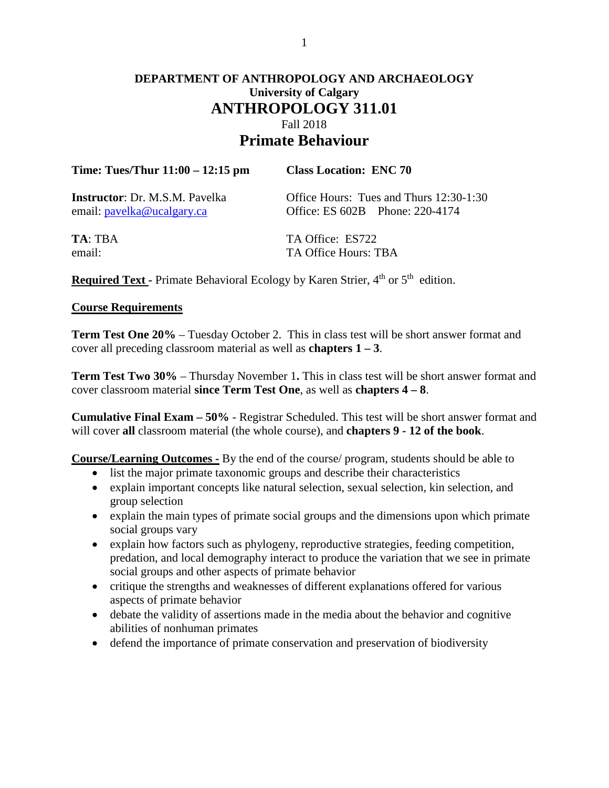# **DEPARTMENT OF ANTHROPOLOGY AND ARCHAEOLOGY University of Calgary ANTHROPOLOGY 311.01** Fall 2018 **Primate Behaviour**

| Time: Tues/Thur 11:00 – 12:15 pm       | <b>Class Location: ENC 70</b>           |  |  |
|----------------------------------------|-----------------------------------------|--|--|
| <b>Instructor</b> : Dr. M.S.M. Pavelka | Office Hours: Tues and Thurs 12:30-1:30 |  |  |
| email: pavelka@ucalgary.ca             | Office: ES 602B Phone: 220-4174         |  |  |
| TA: TBA                                | TA Office: ES722                        |  |  |
| email:                                 | TA Office Hours: TBA                    |  |  |

**Required Text -** Primate Behavioral Ecology by Karen Strier, 4<sup>th</sup> or 5<sup>th</sup> edition.

#### **Course Requirements**

**Term Test One 20%** – Tuesday October 2. This in class test will be short answer format and cover all preceding classroom material as well as **chapters 1 – 3**.

**Term Test Two 30%** – Thursday November 1**.** This in class test will be short answer format and cover classroom material **since Term Test One**, as well as **chapters 4 – 8**.

**Cumulative Final Exam – 50%** - Registrar Scheduled. This test will be short answer format and will cover **all** classroom material (the whole course), and **chapters 9 - 12 of the book**.

**Course/Learning Outcomes -** By the end of the course/ program, students should be able to

- list the major primate taxonomic groups and describe their characteristics
- explain important concepts like natural selection, sexual selection, kin selection, and group selection
- explain the main types of primate social groups and the dimensions upon which primate social groups vary
- explain how factors such as phylogeny, reproductive strategies, feeding competition, predation, and local demography interact to produce the variation that we see in primate social groups and other aspects of primate behavior
- critique the strengths and weaknesses of different explanations offered for various aspects of primate behavior
- debate the validity of assertions made in the media about the behavior and cognitive abilities of nonhuman primates
- defend the importance of primate conservation and preservation of biodiversity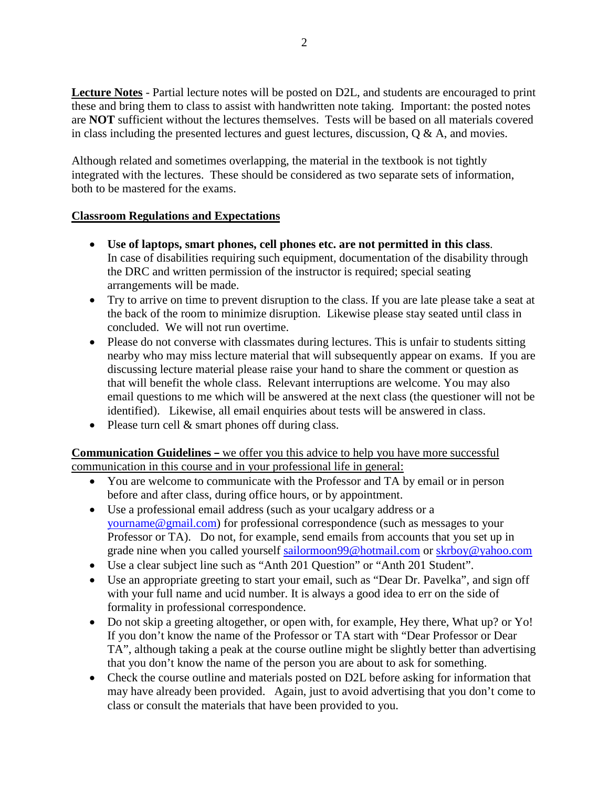**Lecture Notes** - Partial lecture notes will be posted on D2L, and students are encouraged to print these and bring them to class to assist with handwritten note taking. Important: the posted notes are **NOT** sufficient without the lectures themselves. Tests will be based on all materials covered in class including the presented lectures and guest lectures, discussion,  $Q \& A$ , and movies.

Although related and sometimes overlapping, the material in the textbook is not tightly integrated with the lectures. These should be considered as two separate sets of information, both to be mastered for the exams.

### **Classroom Regulations and Expectations**

- **Use of laptops, smart phones, cell phones etc. are not permitted in this class**. In case of disabilities requiring such equipment, documentation of the disability through the DRC and written permission of the instructor is required; special seating arrangements will be made.
- Try to arrive on time to prevent disruption to the class. If you are late please take a seat at the back of the room to minimize disruption. Likewise please stay seated until class in concluded. We will not run overtime.
- Please do not converse with classmates during lectures. This is unfair to students sitting nearby who may miss lecture material that will subsequently appear on exams. If you are discussing lecture material please raise your hand to share the comment or question as that will benefit the whole class. Relevant interruptions are welcome. You may also email questions to me which will be answered at the next class (the questioner will not be identified). Likewise, all email enquiries about tests will be answered in class.
- Please turn cell  $&$  smart phones off during class.

## **Communication Guidelines –** we offer you this advice to help you have more successful communication in this course and in your professional life in general:

- You are welcome to communicate with the Professor and TA by email or in person before and after class, during office hours, or by appointment.
- Use a professional email address (such as your ucalgary address or a [yourname@gmail.com\)](mailto:yourname@gmail.com) for professional correspondence (such as messages to your Professor or TA). Do not, for example, send emails from accounts that you set up in grade nine when you called yourself [sailormoon99@hotmail.com](mailto:sailormoon99@hotmail.com) or [skrboy@yahoo.com](mailto:skrboy@yahoo.com)
- Use a clear subject line such as "Anth 201 Question" or "Anth 201 Student".
- Use an appropriate greeting to start your email, such as "Dear Dr. Pavelka", and sign off with your full name and ucid number. It is always a good idea to err on the side of formality in professional correspondence.
- Do not skip a greeting altogether, or open with, for example, Hey there, What up? or Yo! If you don't know the name of the Professor or TA start with "Dear Professor or Dear TA", although taking a peak at the course outline might be slightly better than advertising that you don't know the name of the person you are about to ask for something.
- Check the course outline and materials posted on D2L before asking for information that may have already been provided. Again, just to avoid advertising that you don't come to class or consult the materials that have been provided to you.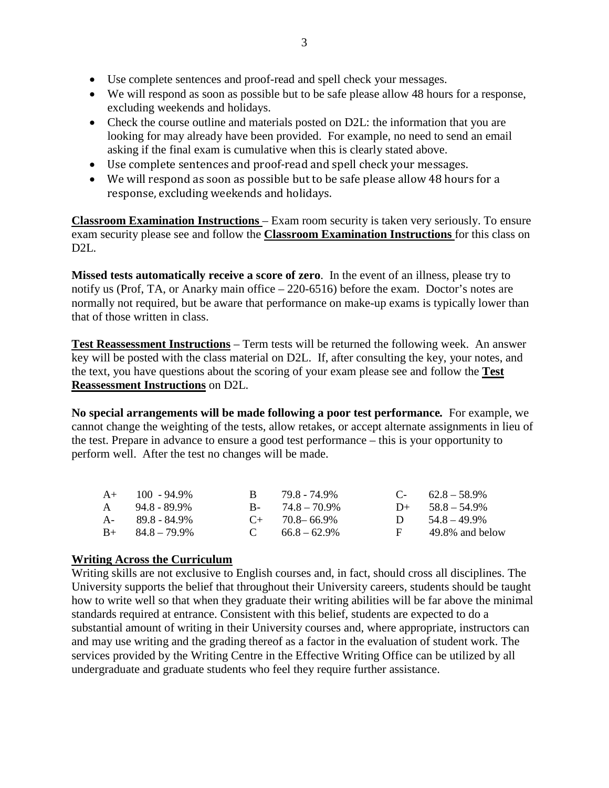- Use complete sentences and proof-read and spell check your messages.
- We will respond as soon as possible but to be safe please allow 48 hours for a response, excluding weekends and holidays.
- Check the course outline and materials posted on D2L: the information that you are looking for may already have been provided. For example, no need to send an email asking if the final exam is cumulative when this is clearly stated above.
- Use complete sentences and proof-read and spell check your messages.
- We will respond as soon as possible but to be safe please allow 48 hours for a response, excluding weekends and holidays.

**Classroom Examination Instructions** – Exam room security is taken very seriously. To ensure exam security please see and follow the **Classroom Examination Instructions** for this class on D<sub>2</sub>L.

**Missed tests automatically receive a score of zero**. In the event of an illness, please try to notify us (Prof, TA, or Anarky main office – 220-6516) before the exam. Doctor's notes are normally not required, but be aware that performance on make-up exams is typically lower than that of those written in class.

**Test Reassessment Instructions** – Term tests will be returned the following week. An answer key will be posted with the class material on D2L. If, after consulting the key, your notes, and the text, you have questions about the scoring of your exam please see and follow the **Test Reassessment Instructions** on D2L.

**No special arrangements will be made following a poor test performance***.* For example, we cannot change the weighting of the tests, allow retakes, or accept alternate assignments in lieu of the test. Prepare in advance to ensure a good test performance – this is your opportunity to perform well. After the test no changes will be made.

|              | $A+$ 100 - 94.9%        |              | 79.8 - 74.9%        |     | $C-$ 62.8 – 58.9%  |
|--------------|-------------------------|--------------|---------------------|-----|--------------------|
| $\mathbf{A}$ | 94.8 - 89.9%            |              | $B - 74.8 - 70.9\%$ |     | $D+ 58.8 - 54.9\%$ |
|              | $A - 89.8 - 84.9\%$     |              | $C_{+}$ 70.8–66.9%  |     | $54.8 - 49.9\%$    |
|              | $B_{+}$ $84.8 - 79.9\%$ | $\mathbf{C}$ | $66.8 - 62.9\%$     | E S | 49.8% and below    |

### **Writing Across the Curriculum**

Writing skills are not exclusive to English courses and, in fact, should cross all disciplines. The University supports the belief that throughout their University careers, students should be taught how to write well so that when they graduate their writing abilities will be far above the minimal standards required at entrance. Consistent with this belief, students are expected to do a substantial amount of writing in their University courses and, where appropriate, instructors can and may use writing and the grading thereof as a factor in the evaluation of student work. The services provided by the Writing Centre in the Effective Writing Office can be utilized by all undergraduate and graduate students who feel they require further assistance.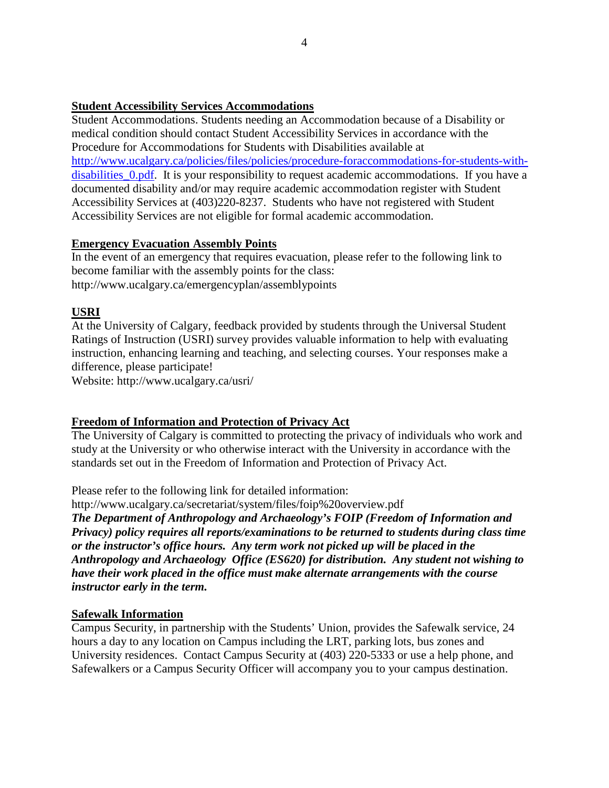#### **Student Accessibility Services Accommodations**

Student Accommodations. Students needing an Accommodation because of a Disability or medical condition should contact Student Accessibility Services in accordance with the Procedure for Accommodations for Students with Disabilities available at [http://www.ucalgary.ca/policies/files/policies/procedure-foraccommodations-for-students-with](http://www.ucalgary.ca/policies/files/policies/procedure-foraccommodations-for-students-with-disabilities_0.pdf)[disabilities\\_0.pdf.](http://www.ucalgary.ca/policies/files/policies/procedure-foraccommodations-for-students-with-disabilities_0.pdf) It is your responsibility to request academic accommodations. If you have a documented disability and/or may require academic accommodation register with Student Accessibility Services at (403)220-8237. Students who have not registered with Student Accessibility Services are not eligible for formal academic accommodation.

### **Emergency Evacuation Assembly Points**

In the event of an emergency that requires evacuation, please refer to the following link to become familiar with the assembly points for the class: http://www.ucalgary.ca/emergencyplan/assemblypoints

#### **USRI**

At the University of Calgary, feedback provided by students through the Universal Student Ratings of Instruction (USRI) survey provides valuable information to help with evaluating instruction, enhancing learning and teaching, and selecting courses. Your responses make a difference, please participate!

Website: http://www.ucalgary.ca/usri/

#### **Freedom of Information and Protection of Privacy Act**

The University of Calgary is committed to protecting the privacy of individuals who work and study at the University or who otherwise interact with the University in accordance with the standards set out in the Freedom of Information and Protection of Privacy Act.

Please refer to the following link for detailed information:

http://www.ucalgary.ca/secretariat/system/files/foip%20overview.pdf

*The Department of Anthropology and Archaeology's FOIP (Freedom of Information and Privacy) policy requires all reports/examinations to be returned to students during class time or the instructor's office hours. Any term work not picked up will be placed in the Anthropology and Archaeology Office (ES620) for distribution. Any student not wishing to have their work placed in the office must make alternate arrangements with the course instructor early in the term.* 

#### **Safewalk Information**

Campus Security, in partnership with the Students' Union, provides the Safewalk service, 24 hours a day to any location on Campus including the LRT, parking lots, bus zones and University residences. Contact Campus Security at (403) 220-5333 or use a help phone, and Safewalkers or a Campus Security Officer will accompany you to your campus destination.